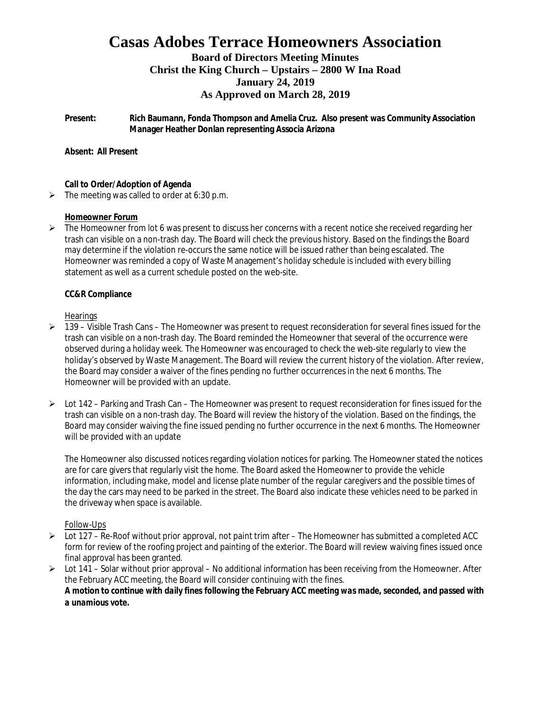# **Casas Adobes Terrace Homeowners Association**

### **Board of Directors Meeting Minutes Christ the King Church – Upstairs – 2800 W Ina Road January 24, 2019 As Approved on March 28, 2019**

**Present: Rich Baumann, Fonda Thompson and Amelia Cruz. Also present was Community Association Manager Heather Donlan representing Associa Arizona**

**Absent: All Present**

**Call to Order/Adoption of Agenda**

 $\triangleright$  The meeting was called to order at 6:30 p.m.

#### **Homeowner Forum**

 $\triangleright$  The Homeowner from lot 6 was present to discuss her concerns with a recent notice she received regarding her trash can visible on a non-trash day. The Board will check the previous history. Based on the findings the Board may determine if the violation re-occurs the same notice will be issued rather than being escalated. The Homeowner was reminded a copy of Waste Management's holiday schedule is included with every billing statement as well as a current schedule posted on the web-site.

#### **CC&R Compliance**

#### **Hearings**

- $\triangleright$  139 Visible Trash Cans The Homeowner was present to request reconsideration for several fines issued for the trash can visible on a non-trash day. The Board reminded the Homeowner that several of the occurrence were observed during a holiday week. The Homeowner was encouraged to check the web-site regularly to view the holiday's observed by Waste Management. The Board will review the current history of the violation. After review, the Board may consider a waiver of the fines pending no further occurrences in the next 6 months. The Homeowner will be provided with an update.
- $\triangleright$  Lot 142 Parking and Trash Can The Homeowner was present to request reconsideration for fines issued for the trash can visible on a non-trash day. The Board will review the history of the violation. Based on the findings, the Board may consider waiving the fine issued pending no further occurrence in the next 6 months. The Homeowner will be provided with an update

The Homeowner also discussed notices regarding violation notices for parking. The Homeowner stated the notices are for care givers that regularly visit the home. The Board asked the Homeowner to provide the vehicle information, including make, model and license plate number of the regular caregivers and the possible times of the day the cars may need to be parked in the street. The Board also indicate these vehicles need to be parked in the driveway when space is available.

#### Follow-Ups

- $\geq$  Lot 127 Re-Roof without prior approval, not paint trim after The Homeowner has submitted a completed ACC form for review of the roofing project and painting of the exterior. The Board will review waiving fines issued once final approval has been granted.
- $\triangleright$  Lot 141 Solar without prior approval No additional information has been receiving from the Homeowner. After the February ACC meeting, the Board will consider continuing with the fines. *A motion to continue with daily fines following the February ACC meeting was made, seconded, and passed with a unamious vote.*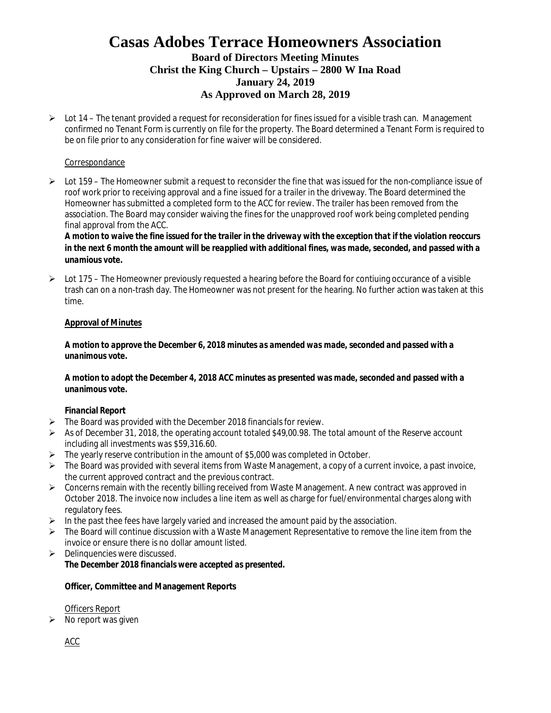## **Casas Adobes Terrace Homeowners Association Board of Directors Meeting Minutes Christ the King Church – Upstairs – 2800 W Ina Road January 24, 2019 As Approved on March 28, 2019**

 $\triangleright$  Lot 14 – The tenant provided a request for reconsideration for fines issued for a visible trash can. Management confirmed no Tenant Form is currently on file for the property. The Board determined a Tenant Form is required to be on file prior to any consideration for fine waiver will be considered.

#### Correspondance

 $\triangleright$  Lot 159 – The Homeowner submit a request to reconsider the fine that was issued for the non-compliance issue of roof work prior to receiving approval and a fine issued for a trailer in the driveway. The Board determined the Homeowner has submitted a completed form to the ACC for review. The trailer has been removed from the association. The Board may consider waiving the fines for the unapproved roof work being completed pending final approval from the ACC.

*A motion to waive the fine issued for the trailer in the driveway with the exception that if the violation reoccurs in the next 6 month the amount will be reapplied with additional fines, was made, seconded, and passed with a unamious vote.*

 $\triangleright$  Lot 175 – The Homeowner previously requested a hearing before the Board for contiuing occurance of a visible trash can on a non-trash day. The Homeowner was not present for the hearing. No further action was taken at this time.

#### **Approval of Minutes**

*A motion to approve the December 6, 2018 minutes as amended was made, seconded and passed with a unanimous vote.*

*A motion to adopt the December 4, 2018 ACC minutes as presented was made, seconded and passed with a unanimous vote.*

#### **Financial Report**

- $\triangleright$  The Board was provided with the December 2018 financials for review.
- $\triangleright$  As of December 31, 2018, the operating account totaled \$49,00.98. The total amount of the Reserve account including all investments was \$59,316.60.
- $\triangleright$  The yearly reserve contribution in the amount of \$5,000 was completed in October.
- $\triangleright$  The Board was provided with several items from Waste Management, a copy of a current invoice, a past invoice, the current approved contract and the previous contract.
- $\triangleright$  Concerns remain with the recently billing received from Waste Management. A new contract was approved in October 2018. The invoice now includes a line item as well as charge for fuel/environmental charges along with regulatory fees.
- $\triangleright$  In the past thee fees have largely varied and increased the amount paid by the association.
- $\triangleright$  The Board will continue discussion with a Waste Management Representative to remove the line item from the invoice or ensure there is no dollar amount listed.
- $\triangleright$  Delinquencies were discussed. *The December 2018 financials were accepted as presented.*

**Officer, Committee and Management Reports**

Officers Report

 $\triangleright$  No report was given

ACC